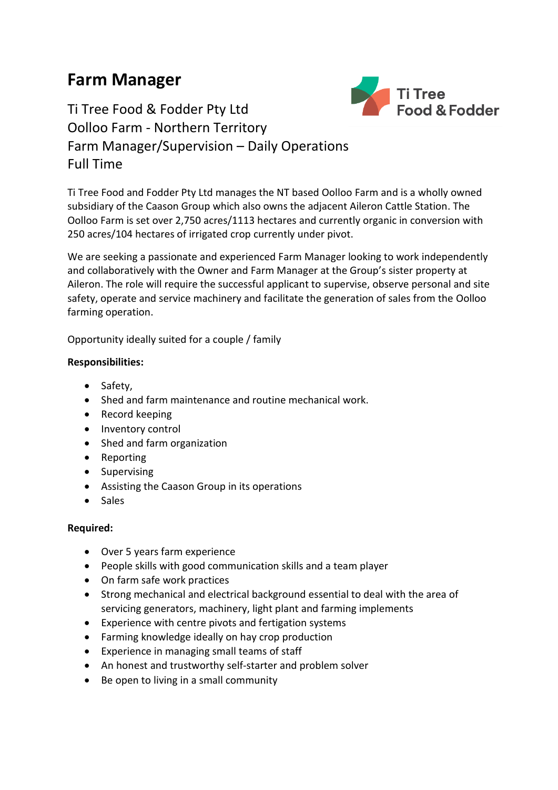## **Farm Manager**



Ti Tree Food & Fodder Pty Ltd Oolloo Farm - Northern Territory Farm Manager/Supervision – Daily Operations Full Time

Ti Tree Food and Fodder Pty Ltd manages the NT based Oolloo Farm and is a wholly owned subsidiary of the Caason Group which also owns the adjacent Aileron Cattle Station. The Oolloo Farm is set over 2,750 acres/1113 hectares and currently organic in conversion with 250 acres/104 hectares of irrigated crop currently under pivot.

We are seeking a passionate and experienced Farm Manager looking to work independently and collaboratively with the Owner and Farm Manager at the Group's sister property at Aileron. The role will require the successful applicant to supervise, observe personal and site safety, operate and service machinery and facilitate the generation of sales from the Oolloo farming operation.

Opportunity ideally suited for a couple / family

## **Responsibilities:**

- Safety,
- Shed and farm maintenance and routine mechanical work.
- Record keeping
- Inventory control
- Shed and farm organization
- Reporting
- Supervising
- Assisting the Caason Group in its operations
- Sales

## **Required:**

- Over 5 years farm experience
- People skills with good communication skills and a team player
- On farm safe work practices
- Strong mechanical and electrical background essential to deal with the area of servicing generators, machinery, light plant and farming implements
- Experience with centre pivots and fertigation systems
- Farming knowledge ideally on hay crop production
- Experience in managing small teams of staff
- An honest and trustworthy self-starter and problem solver
- Be open to living in a small community